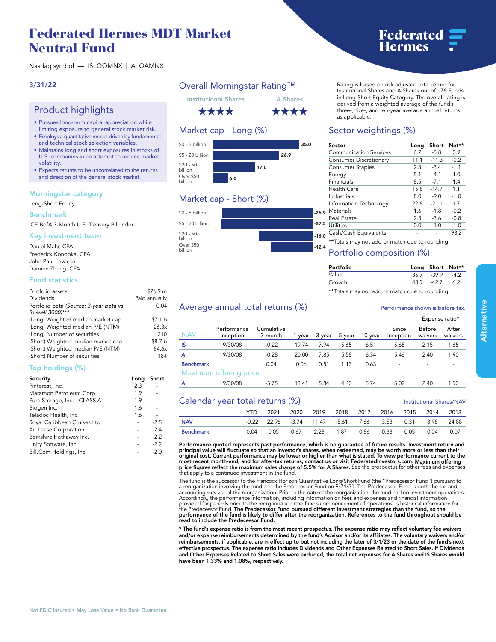# **Federated Hermes MDT Market Neutral Fund**

**Nasdaq symbol — IS: QQMNX | A: QAMNX**

### **3/31/22**

## **Product highlights**

- **Pursues long-term capital appreciation while limiting exposure to general stock market risk.**
- **Employs a quantitative model driven by fundamental and technical stock selection variables.**
- **Maintains long and short exposures in stocks of U.S. companies in an attempt to reduce market volatility.**
- **Expects returns to be uncorrelated to the returns and direction of the general stock market.**

### **Morningstar category**

**Long-Short Equity**

#### **Benchmark**

**ICE BofA 3-Month U.S. Treasury Bill Index**

#### **Key investment team**

**Daniel Mahr, CFA Frederick Konopka, CFA John Paul Lewicke Damien Zhang, CFA**

### **Fund statistics**

| Portfolio assets                       | \$76.9 m      |
|----------------------------------------|---------------|
| <b>Dividends</b>                       | Paid annually |
| Portfolio beta (Source: 3-year beta vs | 0.04          |
| Russell 3000)***                       |               |
| (Long) Weighted median market cap      | \$7.1 b       |
| (Long) Weighted median P/E (NTM)       | 26.3x         |
| (Long) Number of securities            | 210           |
| (Short) Weighted median market cap     | \$8.7 b       |
| (Short) Weighted median P/E (NTM)      | 84.6x         |
| (Short) Number of securities           | 184           |
|                                        |               |

### **Top holdings (%)**

| Security                     | Long | Short  |
|------------------------------|------|--------|
| Pinterest, Inc.              | 2.3  |        |
| Marathon Petroleum Corp.     | 1.9  |        |
| Pure Storage, Inc. - CLASS A | 1.9  |        |
| Biogen Inc.                  | 1.6  |        |
| Teladoc Health, Inc.         | 1.6  |        |
| Royal Caribbean Cruises Ltd. |      | $-2.5$ |
| Air Lease Corporation        |      | $-2.4$ |
| Berkshire Hathaway Inc.      |      | $-2.2$ |
| Unity Software, Inc.         |      | $-2.2$ |
| Bill.Com Holdings, Inc.      |      | $-2.0$ |

## **Overall Morningstar Rating™**



## **Market cap - Long (%)**



## **Market cap - Short (%)**



#### **Rating is based on risk adjusted total return for Institutional Shares and A Shares out of 178 Funds in Long-Short Equity Category. The overall rating is derived from a weighted average of the fund's three-, five-, and ten-year average annual returns, as applicable.**

## **Sector weightings (%)**

| Sector                                         | Long | Short   | Net**  |  |  |
|------------------------------------------------|------|---------|--------|--|--|
| <b>Communication Services</b>                  | 6.7  | $-5.8$  | 0.9    |  |  |
| Consumer Discretionary                         | 11.1 | $-11.3$ | $-0.2$ |  |  |
| <b>Consumer Staples</b>                        | 2.3  | $-3.4$  | $-1.1$ |  |  |
| Energy                                         | 5.1  | $-4.1$  | 1.0    |  |  |
| Financials                                     | 8.5  | $-7.1$  | 1.4    |  |  |
| Health Care                                    | 15.8 | $-14.7$ | 1.1    |  |  |
| Industrials                                    | 8.0  | $-9.0$  | $-1.0$ |  |  |
| Information Technology                         | 22.8 | $-21.1$ | 1.7    |  |  |
| Materials<br>o                                 | 1.6  | $-1.8$  | $-0.2$ |  |  |
| Real Estate                                    | 2.8  | $-3.6$  | $-0.8$ |  |  |
| 5.<br>Utilities                                | 0.0  | $-1.0$  | $-1.0$ |  |  |
| Cash/Cash Equivalents                          |      |         | 98.2   |  |  |
| **Totals may not add or match due to rounding. |      |         |        |  |  |

### **Portfolio composition (%)**

| Portfolio                                      |      | Long Short Net** |    |
|------------------------------------------------|------|------------------|----|
| Value                                          |      | $357 - 399 - 42$ |    |
| Growth                                         | 48.9 | -42.7            | 62 |
| **Totals may not add or match due to rounding. |      |                  |    |

### Average annual total returns  $\left(\% \right)$  **Performance shown is before tax.**

|                  |                          |                       |        |        |        |         |                          | Expense ratio*           |                  |
|------------------|--------------------------|-----------------------|--------|--------|--------|---------|--------------------------|--------------------------|------------------|
| NAV              | Performance<br>inception | Cumulative<br>3-month | 1-year | 3-year | 5-vear | 10-vear | Since<br>inception       | Before<br>waivers        | After<br>waivers |
| IS               | 9/30/08                  | $-0.22$               | 19.74  | 7.94   | 5.65   | 6.51    | 5.65                     | 2.15                     | 1.65             |
| A                | 9/30/08                  | $-0.28$               | 20.00  | 7.85   | 5.58   | 6.34    | 5.46                     | 2.40                     | 1.90             |
| <b>Benchmark</b> |                          | 0.04                  | 0.06   | 0.81   | 1.13   | 0.63    | $\overline{\phantom{0}}$ | $\overline{\phantom{0}}$ |                  |
|                  | Maximum offering price   |                       |        |        |        |         |                          |                          |                  |
| А                | 9/30/08                  | $-5.75$               | 13.41  | 5.84   | 4.40   | 5.74    | 5.02                     | 2.40                     | 1.90             |

### **Calendar year total returns (%) Institutional Shares/NAV**

**YTD 2021 2020 2019 2018 2017 2016 2015 2014 2013 NAV -0.22 22.96 -3.74 11.47 -5.61 7.66 3.53 0.31 8.98 24.88 Benchmark 0.04 0.05 0.67 2.28 1.87 0.86 0.33 0.05 0.04 0.07**

**Performance quoted represents past performance, which is no guarantee of future results. Investment return and**  principal value will fluctuate so that an investor's shares, when redeemed, may be worth more or less than their<br>original cost. Current performance may be lower or higher than what is stated. To view performance current to **most recent month-end, and for after-tax returns, contact us or visit [FederatedInvestors.com.](www.federatedinvestors.com) Maximum offering price figures reflect the maximum sales charge of 5.5% for A Shares. See the prospectus for other fees and expenses that apply to a continued investment in the fund.**

**The fund is the successor to the Hancock Horizon Quantitative Long/Short Fund (the "Predecessor Fund") pursuant to**  a reorganization involving the fund and the Predecessor Fund on 9/24/21. The Predecessor Fund is both the tax and<br>accounting survivor of the reorganization. Prior to the date of the reorganization, the fund had no investme **performance of the fund is likely to differ after the reorganization. References to the fund throughout should be read to include the Predecessor Fund.**

**\* The fund's expense ratio is from the most recent prospectus. The expense ratio may reflect voluntary fee waivers and/or expense reimbursements determined by the fund's Advisor and/or its affiliates. The voluntary waivers and/or reimbursements, if applicable, are in effect up to but not including the later of 3/1/23 or the date of the fund's next effective prospectus. The expense ratio includes Dividends and Other Expenses Related to Short Sales. If Dividends and Other Expenses Related to Short Sales were excluded, the total net expenses for A Shares and IS Shares would have been 1.33% and 1.08%, respectively.**